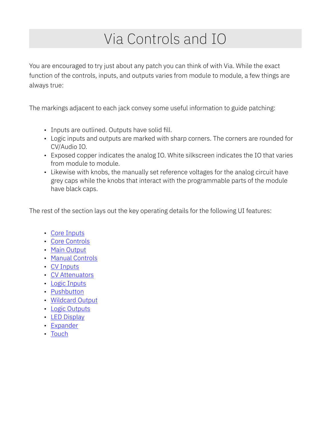# Via Controls and IO

You are encouraged to try just about any patch you can think of with Via. While the exact function of the controls, inputs, and outputs varies from module to module, a few things are always true:

The markings adjacent to each jack convey some useful information to guide patching:

- Inputs are outlined. Outputs have solid fill.
- Logic inputs and outputs are marked with sharp corners. The corners are rounded for CV/Audio IO.
- Exposed copper indicates the analog IO. White silkscreen indicates the IO that varies from module to module.
- Likewise with knobs, the manually set reference voltages for the analog circuit have grey caps while the knobs that interact with the programmable parts of the module have black caps.

The rest of the section lays out the key operating details for the following UI features:

- [Core Inputs](#page-1-0)
- [Core Controls](#page-1-1)
- [Main Output](#page-1-2)
- [Manual Controls](#page-2-0)
- [CV Inputs](#page-2-1)
- [CV Attenuators](#page-2-2)
- [Logic Inputs](#page-3-0)
- [Pushbutton](#page-3-1)
- [Wildcard Output](#page-3-2)
- [Logic Outputs](#page-3-3)
- [LED Display](#page-4-0)
- [Expander](#page-4-1)
- [Touch](#page-4-2)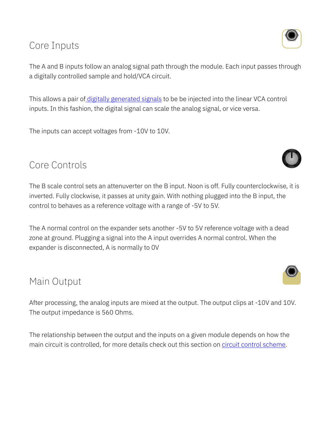### <span id="page-1-0"></span>Core Inputs

The A and B inputs follow an analog signal path through the module. Each input passes through a digitally controlled sample and hold/VCA circuit.

This allows a pair of digitally generated signals to be be injected into the linear VCA control inputs. In this fashion, the digital signal can scale the analog signal, or vice versa.

The inputs can accept voltages from -10V to 10V.

#### <span id="page-1-1"></span>Core Controls

The B scale control sets an attenuverter on the B input. Noon is off. Fully counterclockwise, it is inverted. Fully clockwise, it passes at unity gain. With nothing plugged into the B input, the control to behaves as a reference voltage with a range of -5V to 5V.

The A normal control on the expander sets another -5V to 5V reference voltage with a dead zone at ground. Plugging a signal into the A input overrides A normal control. When the expander is disconnected, A is normally to 0V

### <span id="page-1-2"></span>Main Output

After processing, the analog inputs are mixed at the output. The output clips at -10V and 10V. The output impedance is 560 Ohms.

The relationship between the output and the inputs on a given module depends on how the main circuit is controlled, for more details check out this section on circuit control scheme.







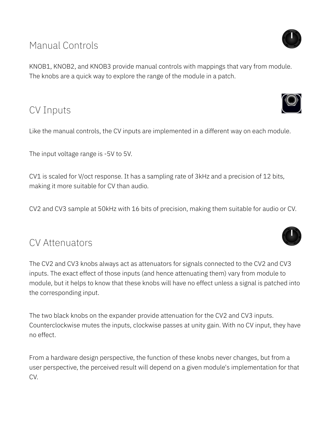# <span id="page-2-0"></span>Manual Controls

KNOB1, KNOB2, and KNOB3 provide manual controls with mappings that vary from module. The knobs are a quick way to explore the range of the module in a patch.

# <span id="page-2-1"></span>CV Inputs

Like the manual controls, the CV inputs are implemented in a different way on each module.

The input voltage range is -5V to 5V.

CV1 is scaled for V/oct response. It has a sampling rate of 3kHz and a precision of 12 bits, making it more suitable for CV than audio.

CV2 and CV3 sample at 50kHz with 16 bits of precision, making them suitable for audio or CV.

#### <span id="page-2-2"></span>CV Attenuators

The CV2 and CV3 knobs always act as attenuators for signals connected to the CV2 and CV3 inputs. The exact effect of those inputs (and hence attenuating them) vary from module to module, but it helps to know that these knobs will have no effect unless a signal is patched into the corresponding input.

The two black knobs on the expander provide attenuation for the CV2 and CV3 inputs. Counterclockwise mutes the inputs, clockwise passes at unity gain. With no CV input, they have no effect.

From a hardware design perspective, the function of these knobs never changes, but from a user perspective, the perceived result will depend on a given module's implementation for that CV.





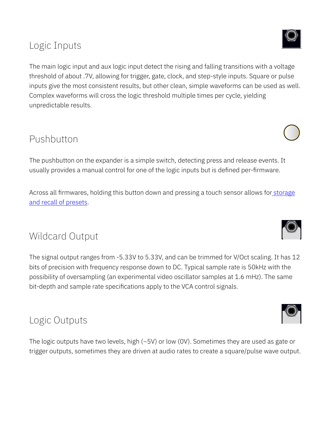# <span id="page-3-0"></span>Logic Inputs

The main logic input and aux logic input detect the rising and falling transitions with a voltage threshold of about .7V, allowing for trigger, gate, clock, and step-style inputs. Square or pulse inputs give the most consistent results, but other clean, simple waveforms can be used as well. Complex waveforms will cross the logic threshold multiple times per cycle, yielding unpredictable results.

# <span id="page-3-1"></span>Pushbutton

The pushbutton on the expander is a simple switch, detecting press and release events. It usually provides a manual control for one of the logic inputs but is defined per-firmware.

Across all firmwares, holding this button down and pressing a touch sensor allows for [storage](#page-4-3) [and recall of presets.](#page-4-3)

# <span id="page-3-2"></span>Wildcard Output

The signal output ranges from -5.33V to 5.33V, and can be trimmed for V/Oct scaling. It has 12 bits of precision with frequency response down to DC. Typical sample rate is 50kHz with the possibility of oversampling (an experimental video oscillator samples at 1.6 mHz). The same bit-depth and sample rate specifications apply to the VCA control signals.

# <span id="page-3-3"></span>Logic Outputs

The logic outputs have two levels, high (~5V) or low (0V). Sometimes they are used as gate or trigger outputs, sometimes they are driven at audio rates to create a square/pulse wave output.











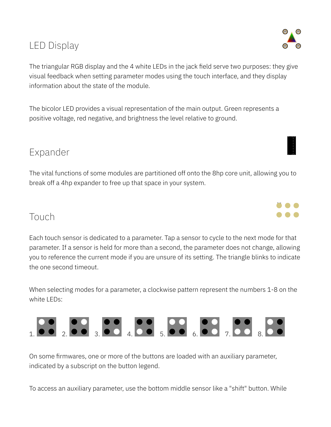# <span id="page-4-0"></span>LED Display

The triangular RGB display and the 4 white LEDs in the jack field serve two purposes: they give visual feedback when setting parameter modes using the touch interface, and they display information about the state of the module.

The bicolor LED provides a visual representation of the main output. Green represents a positive voltage, red negative, and brightness the level relative to ground.

### <span id="page-4-1"></span>Expander

The vital functions of some modules are partitioned off onto the 8hp core unit, allowing you to break off a 4hp expander to free up that space in your system.

### <span id="page-4-2"></span>Touch

<span id="page-4-3"></span>Each touch sensor is dedicated to a parameter. Tap a sensor to cycle to the next mode for that parameter. If a sensor is held for more than a second, the parameter does not change, allowing you to reference the current mode if you are unsure of its setting. The triangle blinks to indicate the one second timeout.

When selecting modes for a parameter, a clockwise pattern represent the numbers 1-8 on the white LEDs:



On some firmwares, one or more of the buttons are loaded with an auxiliary parameter, indicated by a subscript on the button legend.

To access an auxiliary parameter, use the bottom middle sensor like a "shift" button. While